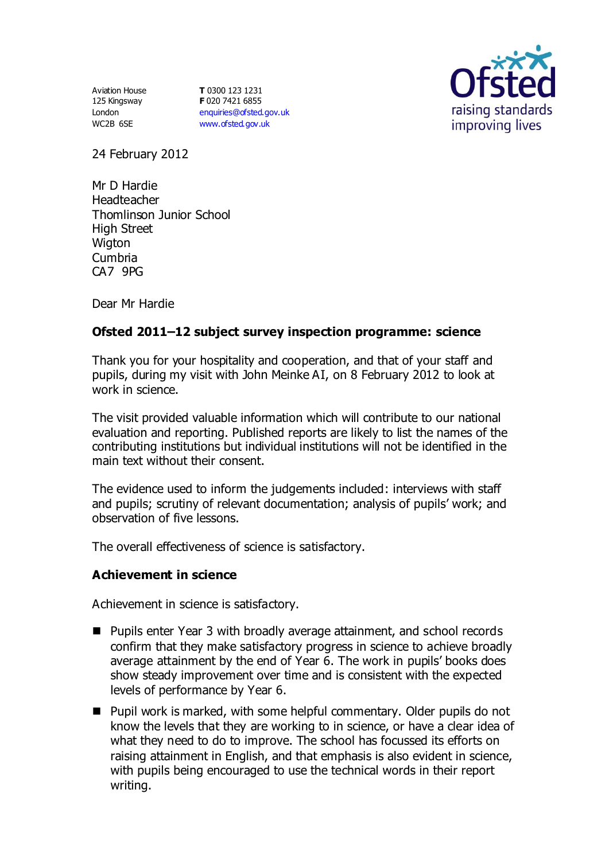Aviation House 125 Kingsway London WC2B 6SE

**T** 0300 123 1231 **F** 020 7421 6855 [enquiries@ofsted.gov.uk](mailto:enquiries@ofsted.gov.uk) [www.ofsted.gov.uk](http://www.ofsted.gov.uk/)



24 February 2012

Mr D Hardie Headteacher Thomlinson Junior School High Street Wigton Cumbria CA7 9PG

Dear Mr Hardie

# **Ofsted 2011–12 subject survey inspection programme: science**

Thank you for your hospitality and cooperation, and that of your staff and pupils, during my visit with John Meinke AI, on 8 February 2012 to look at work in science.

The visit provided valuable information which will contribute to our national evaluation and reporting. Published reports are likely to list the names of the contributing institutions but individual institutions will not be identified in the main text without their consent.

The evidence used to inform the judgements included: interviews with staff and pupils; scrutiny of relevant documentation; analysis of pupils' work; and observation of five lessons.

The overall effectiveness of science is satisfactory.

#### **Achievement in science**

Achievement in science is satisfactory.

- Pupils enter Year 3 with broadly average attainment, and school records confirm that they make satisfactory progress in science to achieve broadly average attainment by the end of Year 6. The work in pupils' books does show steady improvement over time and is consistent with the expected levels of performance by Year 6.
- Pupil work is marked, with some helpful commentary. Older pupils do not know the levels that they are working to in science, or have a clear idea of what they need to do to improve. The school has focussed its efforts on raising attainment in English, and that emphasis is also evident in science, with pupils being encouraged to use the technical words in their report writing.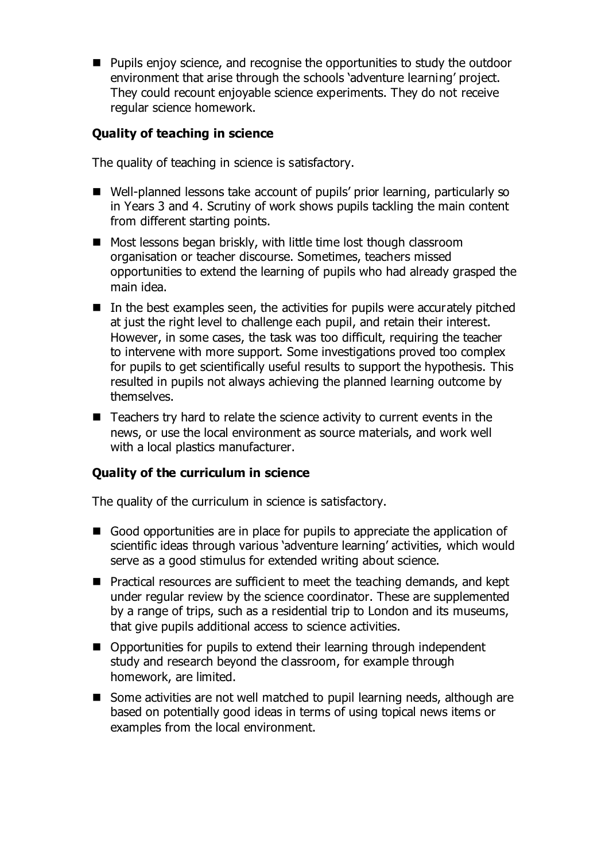**Pupils enjoy science, and recognise the opportunities to study the outdoor** environment that arise through the schools 'adventure learning' project. They could recount enjoyable science experiments. They do not receive regular science homework.

### **Quality of teaching in science**

The quality of teaching in science is satisfactory.

- Well-planned lessons take account of pupils' prior learning, particularly so in Years 3 and 4. Scrutiny of work shows pupils tackling the main content from different starting points.
- Most lessons began briskly, with little time lost though classroom organisation or teacher discourse. Sometimes, teachers missed opportunities to extend the learning of pupils who had already grasped the main idea.
- $\blacksquare$  In the best examples seen, the activities for pupils were accurately pitched at just the right level to challenge each pupil, and retain their interest. However, in some cases, the task was too difficult, requiring the teacher to intervene with more support. Some investigations proved too complex for pupils to get scientifically useful results to support the hypothesis. This resulted in pupils not always achieving the planned learning outcome by themselves.
- Teachers try hard to relate the science activity to current events in the news, or use the local environment as source materials, and work well with a local plastics manufacturer.

# **Quality of the curriculum in science**

The quality of the curriculum in science is satisfactory.

- Good opportunities are in place for pupils to appreciate the application of scientific ideas through various 'adventure learning' activities, which would serve as a good stimulus for extended writing about science.
- **Practical resources are sufficient to meet the teaching demands, and kept** under regular review by the science coordinator. These are supplemented by a range of trips, such as a residential trip to London and its museums, that give pupils additional access to science activities.
- Opportunities for pupils to extend their learning through independent study and research beyond the classroom, for example through homework, are limited.
- Some activities are not well matched to pupil learning needs, although are based on potentially good ideas in terms of using topical news items or examples from the local environment.